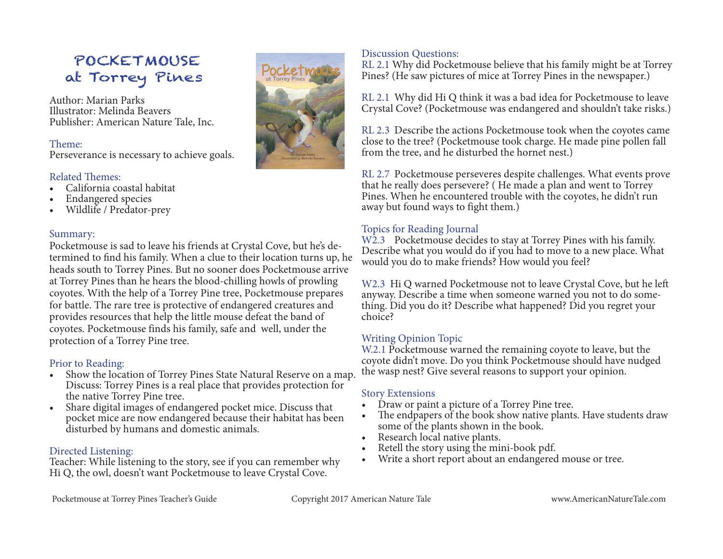## POCKETMOUSE at Torrey Pines

Author: Marian Parks Illustrator: Melinda Beavers Publisher: American Nature Tale, Inc.

#### Theme:

Perseverance is necessary to achieve goals.

#### Related Themes:

- California coastal habitat
- Endangered species
- Wildlife / Predator-prey

#### Summary:

Pocketmouse is sad to leave his friends at Crystal Cove, but he's determined to find his family. When a clue to their location turns up, he heads south to Torrey Pines. But no sooner does Pocketmouse arrive at Torrey Pines than he hears the blood-chilling howls of prowling coyotes. With the help of a Torrey Pine tree, Pocketmouse prepares for battle. The rare tree is protective of endangered creatures and provides resources that help the little mouse defeat the band of coyotes. Pocketmouse finds his family, safe and well, under the protection of a Torrey Pine tree.

#### Prior to Reading:

- Show the location of Torrey Pines State Natural Reserve on a map. Discuss: Torrey Pines is a real place that provides protection for the native Torrey Pine tree.
- Share digital images of endangered pocket mice. Discuss that pocket mice are now endangered because their habitat has been disturbed by humans and domestic animals.

#### Directed Listening:

Teacher: While listening to the story, see if you can remember why Hi Q, the owl, doesn't want Pocketmouse to leave Crystal Cove.



#### Discussion Questions:

RL 2.1 Why did Pocketmouse believe that his family might be at Torrey Pines? (He saw pictures of mice at Torrey Pines in the newspaper.)

RL 2.1 Why did Hi Q think it was a bad idea for Pocketmouse to leave Crystal Cove? (Pocketmouse was endangered and shouldn't take risks.)

RL 2.3 Describe the actions Pocketmouse took when the coyotes came close to the tree? (Pocketmouse took charge. He made pine pollen fall from the tree, and he disturbed the hornet nest.)

RL 2.7 Pocketmouse perseveres despite challenges. What events prove that he really does persevere? ( He made a plan and went to Torrey Pines. When he encountered trouble with the coyotes, he didn't run away but found ways to fight them.)

### Topics for Reading Journal

W2.3 Pocketmouse decides to stay at Torrey Pines with his family. Describe what you would do if you had to move to a new place. What would you do to make friends? How would you feel?

W2.3 Hi Q warned Pocketmouse not to leave Crystal Cove, but he left anyway. Describe a time when someone warned you not to do something. Did you do it? Describe what happened? Did you regret your choice?

#### Writing Opinion Topic

W.2.1 Pocketmouse warned the remaining coyote to leave, but the coyote didn't move. Do you think Pocketmouse should have nudged the wasp nest? Give several reasons to support your opinion.

- Story Extensions<br>• Draw or paint a picture of a Torrey Pine tree.
- Draw or paint a picture of a Torrey Pine tree.<br>• The endpapers of the book show native plants. Have students draw
- 
- some of the plants shown in the book.<br>• Research local native plants.<br>• Retell the story using the mini-book pdf.
- Retell the story using the mini-book pdf.<br>• Write a short report about an endangered mouse or tree.

Pocketmouse at Torrey Pines Teacher's Guide Copyright 2017 American Nature Tale www.AmericanNatureTale.com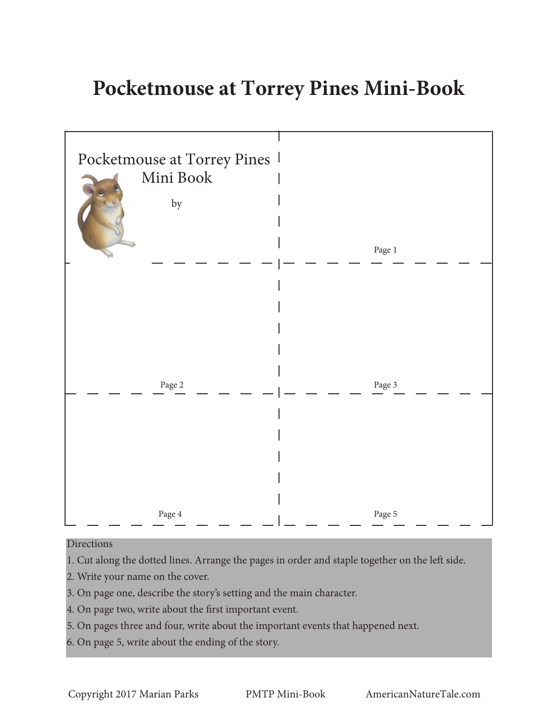# **Pocketmouse at Torrey Pines Mini-Book**



#### Directions

- 1. Cut along the dotted lines. Arrange the pages in order and staple together on the left side.
- 2. Write your name on the cover.
- 3. On page one, describe the story's setting and the main character.
- 4. On page two, write about the first important event.
- 5. On pages three and four, write about the important events that happened next.
- 6. On page 5, write about the ending of the story.